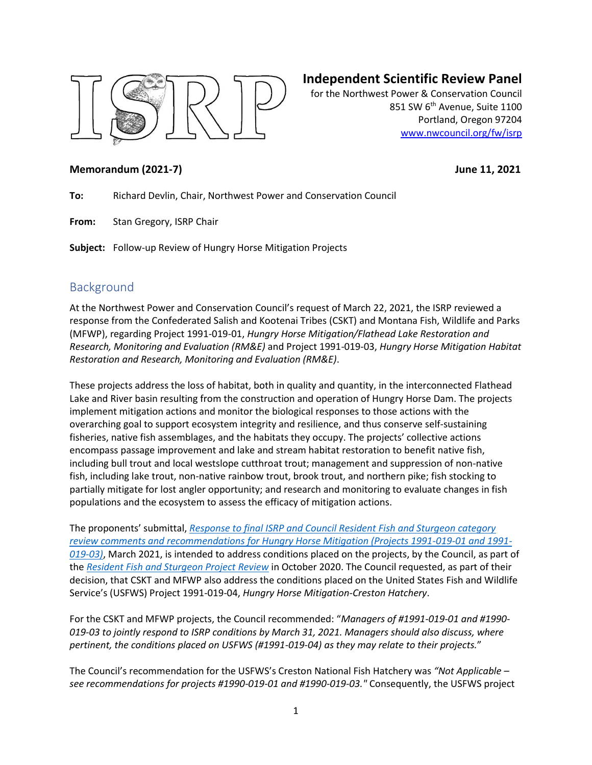

# **Independent Scientific Review Panel**

for the Northwest Power & Conservation Council 851 SW 6<sup>th</sup> Avenue, Suite 1100 Portland, Oregon 97204 [www.nwcouncil.org/fw/isrp](http://www.nwcouncil.org/fw/isrp)

# **Memorandum (2021-7) June 11, 2021**

**To:** Richard Devlin, Chair, Northwest Power and Conservation Council

**From:** Stan Gregory, ISRP Chair

**Subject:** Follow-up Review of Hungry Horse Mitigation Projects

# Background

At the Northwest Power and Conservation Council's request of March 22, 2021, the ISRP reviewed a response from the Confederated Salish and Kootenai Tribes (CSKT) and Montana Fish, Wildlife and Parks (MFWP), regarding Project 1991-019-01, *Hungry Horse Mitigation/Flathead Lake Restoration and Research, Monitoring and Evaluation (RM&E)* and Project 1991-019-03, *Hungry Horse Mitigation Habitat Restoration and Research, Monitoring and Evaluation (RM&E)*.

These projects address the loss of habitat, both in quality and quantity, in the interconnected Flathead Lake and River basin resulting from the construction and operation of Hungry Horse Dam. The projects implement mitigation actions and monitor the biological responses to those actions with the overarching goal to support ecosystem integrity and resilience, and thus conserve self-sustaining fisheries, native fish assemblages, and the habitats they occupy. The projects' collective actions encompass passage improvement and lake and stream habitat restoration to benefit native fish, including bull trout and local westslope cutthroat trout; management and suppression of non-native fish, including lake trout, non-native rainbow trout, brook trout, and northern pike; fish stocking to partially mitigate for lost angler opportunity; and research and monitoring to evaluate changes in fish populations and the ecosystem to assess the efficacy of mitigation actions.

The proponents' submittal, *[Response to final ISRP and Council Resident Fish and Sturgeon category](https://nwcouncil.box.com/s/e9jm6ourgz7i1c5sb5j8b0hshnst6x2r)  [review comments and recommendations for Hungry Horse Mitigation \(Projects 1991-019-01 and 1991-](https://nwcouncil.box.com/s/e9jm6ourgz7i1c5sb5j8b0hshnst6x2r) [019-03\)](https://nwcouncil.box.com/s/e9jm6ourgz7i1c5sb5j8b0hshnst6x2r)*, March 2021, is intended to address conditions placed on the projects, by the Council, as part of the *[Resident Fish and Sturgeon Project Review](https://nwcouncil.app.box.com/file/734780879448?s=wms1iyy39pbspiva5b4uwtwovvqqfgh1)* in October 2020. The Council requested, as part of their decision, that CSKT and MFWP also address the conditions placed on the United States Fish and Wildlife Service's (USFWS) Project 1991-019-04, *Hungry Horse Mitigation-Creston Hatchery*.

For the CSKT and MFWP projects, the Council recommended: "*Managers of #1991-019-01 and #1990- 019-03 to jointly respond to ISRP conditions by March 31, 2021. Managers should also discuss, where pertinent, the conditions placed on USFWS (#1991-019-04) as they may relate to their projects.*"

The Council's recommendation for the USFWS's Creston National Fish Hatchery was *"Not Applicable – see recommendations for projects #1990-019-01 and #1990-019-03."* Consequently, the USFWS project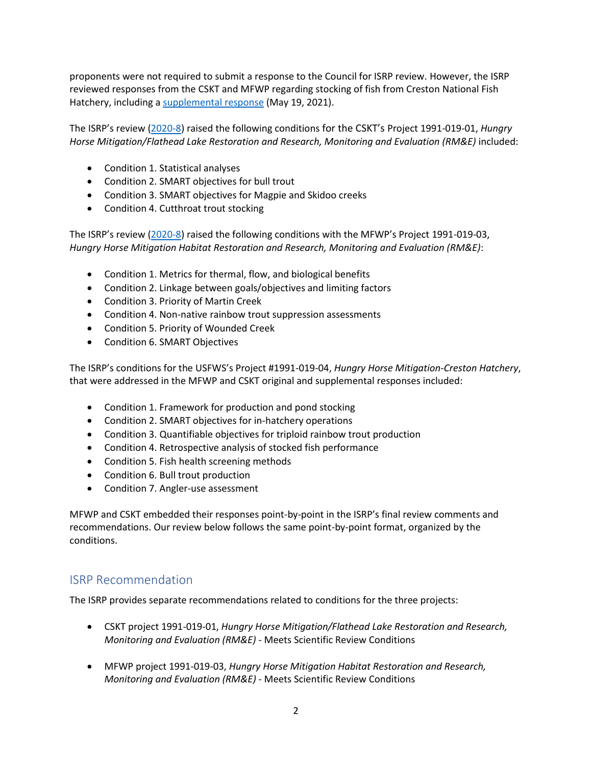proponents were not required to submit a response to the Council for ISRP review. However, the ISRP reviewed responses from the CSKT and MFWP regarding stocking of fish from Creston National Fish Hatchery, including [a supplemental response](https://nwcouncil.box.com/s/53pg63g3cu1v7botycmftdi4lllbw88f) (May 19, 2021).

The ISRP's review ([2020-8\)](https://www.nwcouncil.org/reports/isrp-final-report-category-review-resident-fish-and-sturgeon-projects) raised the following conditions for the CSKT's Project 1991-019-01, *Hungry Horse Mitigation/Flathead Lake Restoration and Research, Monitoring and Evaluation (RM&E)* included:

- Condition 1. Statistical analyses
- Condition 2. SMART objectives for bull trout
- Condition 3. SMART objectives for Magpie and Skidoo creeks
- Condition 4. Cutthroat trout stocking

The ISRP's review [\(2020-8](https://www.nwcouncil.org/reports/isrp-final-report-category-review-resident-fish-and-sturgeon-projects)) raised the following conditions with the MFWP's Project 1991-019-03, *Hungry Horse Mitigation Habitat Restoration and Research, Monitoring and Evaluation (RM&E)*:

- Condition 1. Metrics for thermal, flow, and biological benefits
- Condition 2. Linkage between goals/objectives and limiting factors
- Condition 3. Priority of Martin Creek
- Condition 4. Non-native rainbow trout suppression assessments
- Condition 5. Priority of Wounded Creek
- Condition 6. SMART Objectives

The ISRP's conditions for the USFWS's Project #1991-019-04, *Hungry Horse Mitigation-Creston Hatchery*, that were addressed in the MFWP and CSKT original and supplemental responses included:

- Condition 1. Framework for production and pond stocking
- Condition 2. SMART objectives for in-hatchery operations
- Condition 3. Quantifiable objectives for triploid rainbow trout production
- Condition 4. Retrospective analysis of stocked fish performance
- Condition 5. Fish health screening methods
- Condition 6. Bull trout production
- Condition 7. Angler-use assessment

MFWP and CSKT embedded their responses point-by-point in the ISRP's final review comments and recommendations. Our review below follows the same point-by-point format, organized by the conditions.

# ISRP Recommendation

The ISRP provides separate recommendations related to conditions for the three projects:

- CSKT project 1991-019-01, *Hungry Horse Mitigation/Flathead Lake Restoration and Research, Monitoring and Evaluation (RM&E)* - Meets Scientific Review Conditions
- MFWP project 1991-019-03, *Hungry Horse Mitigation Habitat Restoration and Research, Monitoring and Evaluation (RM&E)* - Meets Scientific Review Conditions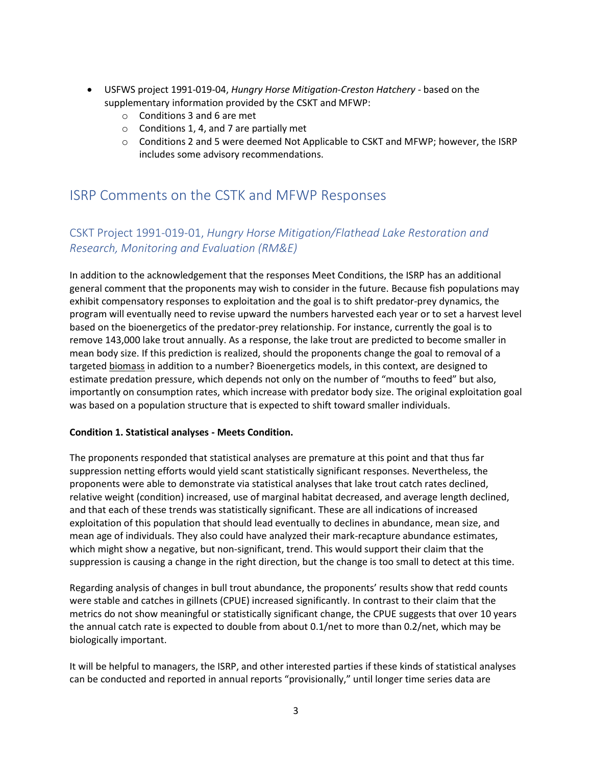- USFWS project 1991-019-04, *Hungry Horse Mitigation-Creston Hatchery -* based on the supplementary information provided by the CSKT and MFWP:
	- o Conditions 3 and 6 are met
	- $\circ$  Conditions 1, 4, and 7 are partially met
	- o Conditions 2 and 5 were deemed Not Applicable to CSKT and MFWP; however, the ISRP includes some advisory recommendations.

# ISRP Comments on the CSTK and MFWP Responses

# CSKT Project 1991-019-01, *Hungry Horse Mitigation/Flathead Lake Restoration and Research, Monitoring and Evaluation (RM&E)*

In addition to the acknowledgement that the responses Meet Conditions, the ISRP has an additional general comment that the proponents may wish to consider in the future. Because fish populations may exhibit compensatory responses to exploitation and the goal is to shift predator-prey dynamics, the program will eventually need to revise upward the numbers harvested each year or to set a harvest level based on the bioenergetics of the predator-prey relationship. For instance, currently the goal is to remove 143,000 lake trout annually. As a response, the lake trout are predicted to become smaller in mean body size. If this prediction is realized, should the proponents change the goal to removal of a targeted biomass in addition to a number? Bioenergetics models, in this context, are designed to estimate predation pressure, which depends not only on the number of "mouths to feed" but also, importantly on consumption rates, which increase with predator body size. The original exploitation goal was based on a population structure that is expected to shift toward smaller individuals.

### **Condition 1. Statistical analyses - Meets Condition.**

The proponents responded that statistical analyses are premature at this point and that thus far suppression netting efforts would yield scant statistically significant responses. Nevertheless, the proponents were able to demonstrate via statistical analyses that lake trout catch rates declined, relative weight (condition) increased, use of marginal habitat decreased, and average length declined, and that each of these trends was statistically significant. These are all indications of increased exploitation of this population that should lead eventually to declines in abundance, mean size, and mean age of individuals. They also could have analyzed their mark-recapture abundance estimates, which might show a negative, but non-significant, trend. This would support their claim that the suppression is causing a change in the right direction, but the change is too small to detect at this time.

Regarding analysis of changes in bull trout abundance, the proponents' results show that redd counts were stable and catches in gillnets (CPUE) increased significantly. In contrast to their claim that the metrics do not show meaningful or statistically significant change, the CPUE suggests that over 10 years the annual catch rate is expected to double from about 0.1/net to more than 0.2/net, which may be biologically important.

It will be helpful to managers, the ISRP, and other interested parties if these kinds of statistical analyses can be conducted and reported in annual reports "provisionally," until longer time series data are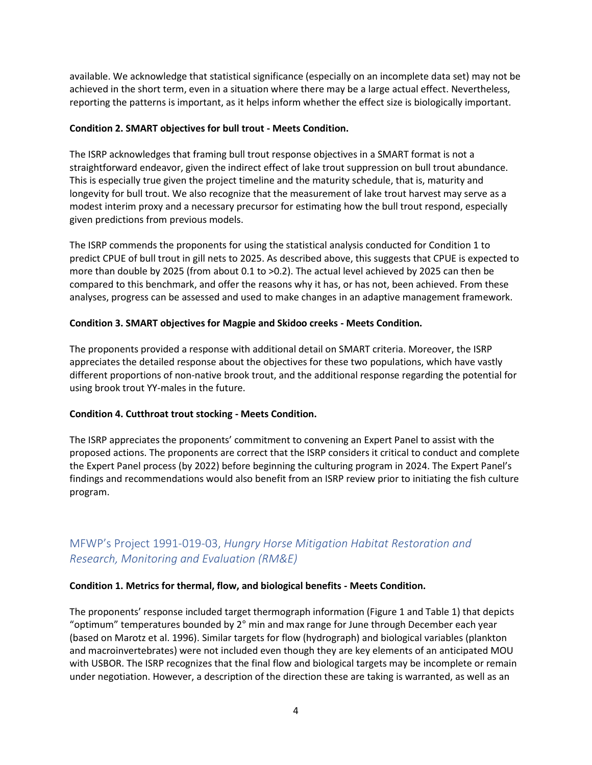available. We acknowledge that statistical significance (especially on an incomplete data set) may not be achieved in the short term, even in a situation where there may be a large actual effect. Nevertheless, reporting the patterns is important, as it helps inform whether the effect size is biologically important.

## **Condition 2. SMART objectives for bull trout - Meets Condition.**

The ISRP acknowledges that framing bull trout response objectives in a SMART format is not a straightforward endeavor, given the indirect effect of lake trout suppression on bull trout abundance. This is especially true given the project timeline and the maturity schedule, that is, maturity and longevity for bull trout. We also recognize that the measurement of lake trout harvest may serve as a modest interim proxy and a necessary precursor for estimating how the bull trout respond, especially given predictions from previous models.

The ISRP commends the proponents for using the statistical analysis conducted for Condition 1 to predict CPUE of bull trout in gill nets to 2025. As described above, this suggests that CPUE is expected to more than double by 2025 (from about 0.1 to >0.2). The actual level achieved by 2025 can then be compared to this benchmark, and offer the reasons why it has, or has not, been achieved. From these analyses, progress can be assessed and used to make changes in an adaptive management framework.

# **Condition 3. SMART objectives for Magpie and Skidoo creeks - Meets Condition.**

The proponents provided a response with additional detail on SMART criteria. Moreover, the ISRP appreciates the detailed response about the objectives for these two populations, which have vastly different proportions of non-native brook trout, and the additional response regarding the potential for using brook trout YY-males in the future.

### **Condition 4. Cutthroat trout stocking - Meets Condition.**

The ISRP appreciates the proponents' commitment to convening an Expert Panel to assist with the proposed actions. The proponents are correct that the ISRP considers it critical to conduct and complete the Expert Panel process (by 2022) before beginning the culturing program in 2024. The Expert Panel's findings and recommendations would also benefit from an ISRP review prior to initiating the fish culture program.

# MFWP's Project 1991-019-03, *Hungry Horse Mitigation Habitat Restoration and Research, Monitoring and Evaluation (RM&E)*

### **Condition 1. Metrics for thermal, flow, and biological benefits - Meets Condition.**

The proponents' response included target thermograph information (Figure 1 and Table 1) that depicts "optimum" temperatures bounded by  $2^{\circ}$  min and max range for June through December each year (based on Marotz et al. 1996). Similar targets for flow (hydrograph) and biological variables (plankton and macroinvertebrates) were not included even though they are key elements of an anticipated MOU with USBOR. The ISRP recognizes that the final flow and biological targets may be incomplete or remain under negotiation. However, a description of the direction these are taking is warranted, as well as an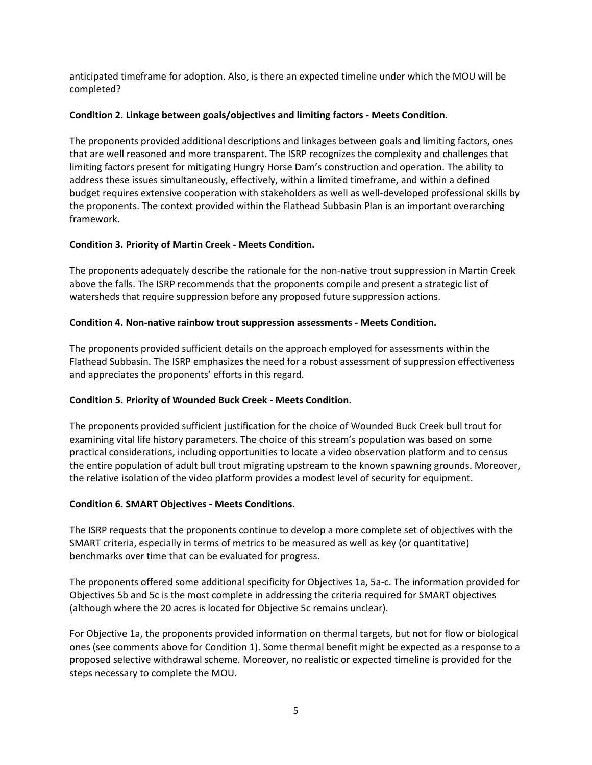anticipated timeframe for adoption. Also, is there an expected timeline under which the MOU will be completed?

## **Condition 2. Linkage between goals/objectives and limiting factors - Meets Condition.**

The proponents provided additional descriptions and linkages between goals and limiting factors, ones that are well reasoned and more transparent. The ISRP recognizes the complexity and challenges that limiting factors present for mitigating Hungry Horse Dam's construction and operation. The ability to address these issues simultaneously, effectively, within a limited timeframe, and within a defined budget requires extensive cooperation with stakeholders as well as well-developed professional skills by the proponents. The context provided within the Flathead Subbasin Plan is an important overarching framework.

# **Condition 3. Priority of Martin Creek - Meets Condition.**

The proponents adequately describe the rationale for the non-native trout suppression in Martin Creek above the falls. The ISRP recommends that the proponents compile and present a strategic list of watersheds that require suppression before any proposed future suppression actions.

# **Condition 4. Non-native rainbow trout suppression assessments - Meets Condition.**

The proponents provided sufficient details on the approach employed for assessments within the Flathead Subbasin. The ISRP emphasizes the need for a robust assessment of suppression effectiveness and appreciates the proponents' efforts in this regard.

# **Condition 5. Priority of Wounded Buck Creek - Meets Condition.**

The proponents provided sufficient justification for the choice of Wounded Buck Creek bull trout for examining vital life history parameters. The choice of this stream's population was based on some practical considerations, including opportunities to locate a video observation platform and to census the entire population of adult bull trout migrating upstream to the known spawning grounds. Moreover, the relative isolation of the video platform provides a modest level of security for equipment.

### **Condition 6. SMART Objectives - Meets Conditions.**

The ISRP requests that the proponents continue to develop a more complete set of objectives with the SMART criteria, especially in terms of metrics to be measured as well as key (or quantitative) benchmarks over time that can be evaluated for progress.

The proponents offered some additional specificity for Objectives 1a, 5a-c. The information provided for Objectives 5b and 5c is the most complete in addressing the criteria required for SMART objectives (although where the 20 acres is located for Objective 5c remains unclear).

For Objective 1a, the proponents provided information on thermal targets, but not for flow or biological ones (see comments above for Condition 1). Some thermal benefit might be expected as a response to a proposed selective withdrawal scheme. Moreover, no realistic or expected timeline is provided for the steps necessary to complete the MOU.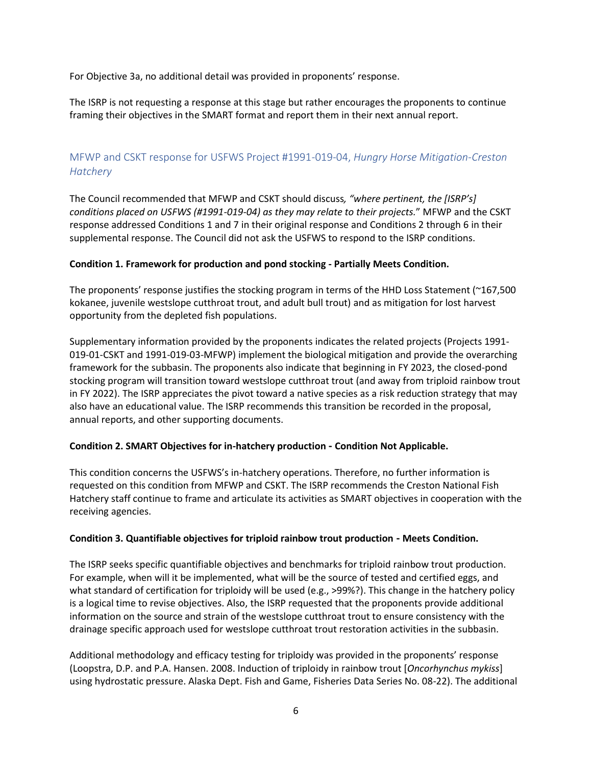For Objective 3a, no additional detail was provided in proponents' response.

The ISRP is not requesting a response at this stage but rather encourages the proponents to continue framing their objectives in the SMART format and report them in their next annual report.

# MFWP and CSKT response for USFWS Project #1991-019-04, *Hungry Horse Mitigation-Creston Hatchery*

The Council recommended that MFWP and CSKT should discuss*, "where pertinent, the [ISRP's] conditions placed on USFWS (#1991-019-04) as they may relate to their projects.*" MFWP and the CSKT response addressed Conditions 1 and 7 in their original response and Conditions 2 through 6 in their supplemental response. The Council did not ask the USFWS to respond to the ISRP conditions.

### **Condition 1. Framework for production and pond stocking - Partially Meets Condition.**

The proponents' response justifies the stocking program in terms of the HHD Loss Statement (~167,500 kokanee, juvenile westslope cutthroat trout, and adult bull trout) and as mitigation for lost harvest opportunity from the depleted fish populations.

Supplementary information provided by the proponents indicates the related projects (Projects 1991- 019-01-CSKT and 1991-019-03-MFWP) implement the biological mitigation and provide the overarching framework for the subbasin. The proponents also indicate that beginning in FY 2023, the closed-pond stocking program will transition toward westslope cutthroat trout (and away from triploid rainbow trout in FY 2022). The ISRP appreciates the pivot toward a native species as a risk reduction strategy that may also have an educational value. The ISRP recommends this transition be recorded in the proposal, annual reports, and other supporting documents.

### **Condition 2. SMART Objectives for in-hatchery production - Condition Not Applicable.**

This condition concerns the USFWS's in-hatchery operations. Therefore, no further information is requested on this condition from MFWP and CSKT. The ISRP recommends the Creston National Fish Hatchery staff continue to frame and articulate its activities as SMART objectives in cooperation with the receiving agencies.

### **Condition 3. Quantifiable objectives for triploid rainbow trout production - Meets Condition.**

The ISRP seeks specific quantifiable objectives and benchmarks for triploid rainbow trout production. For example, when will it be implemented, what will be the source of tested and certified eggs, and what standard of certification for triploidy will be used (e.g., >99%?). This change in the hatchery policy is a logical time to revise objectives. Also, the ISRP requested that the proponents provide additional information on the source and strain of the westslope cutthroat trout to ensure consistency with the drainage specific approach used for westslope cutthroat trout restoration activities in the subbasin.

Additional methodology and efficacy testing for triploidy was provided in the proponents' response (Loopstra, D.P. and P.A. Hansen. 2008. Induction of triploidy in rainbow trout [*Oncorhynchus mykiss*] using hydrostatic pressure. Alaska Dept. Fish and Game, Fisheries Data Series No. 08-22). The additional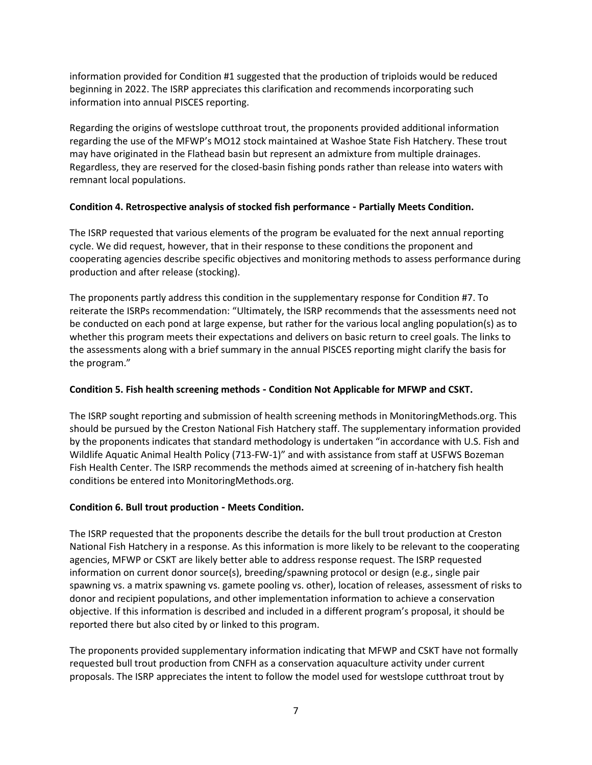information provided for Condition #1 suggested that the production of triploids would be reduced beginning in 2022. The ISRP appreciates this clarification and recommends incorporating such information into annual PISCES reporting.

Regarding the origins of westslope cutthroat trout, the proponents provided additional information regarding the use of the MFWP's MO12 stock maintained at Washoe State Fish Hatchery. These trout may have originated in the Flathead basin but represent an admixture from multiple drainages. Regardless, they are reserved for the closed-basin fishing ponds rather than release into waters with remnant local populations.

# **Condition 4. Retrospective analysis of stocked fish performance - Partially Meets Condition.**

The ISRP requested that various elements of the program be evaluated for the next annual reporting cycle. We did request, however, that in their response to these conditions the proponent and cooperating agencies describe specific objectives and monitoring methods to assess performance during production and after release (stocking).

The proponents partly address this condition in the supplementary response for Condition #7. To reiterate the ISRPs recommendation: "Ultimately, the ISRP recommends that the assessments need not be conducted on each pond at large expense, but rather for the various local angling population(s) as to whether this program meets their expectations and delivers on basic return to creel goals. The links to the assessments along with a brief summary in the annual PISCES reporting might clarify the basis for the program."

# **Condition 5. Fish health screening methods - Condition Not Applicable for MFWP and CSKT.**

The ISRP sought reporting and submission of health screening methods in MonitoringMethods.org. This should be pursued by the Creston National Fish Hatchery staff. The supplementary information provided by the proponents indicates that standard methodology is undertaken "in accordance with U.S. Fish and Wildlife Aquatic Animal Health Policy (713-FW-1)" and with assistance from staff at USFWS Bozeman Fish Health Center. The ISRP recommends the methods aimed at screening of in-hatchery fish health conditions be entered into MonitoringMethods.org.

### **Condition 6. Bull trout production - Meets Condition.**

The ISRP requested that the proponents describe the details for the bull trout production at Creston National Fish Hatchery in a response. As this information is more likely to be relevant to the cooperating agencies, MFWP or CSKT are likely better able to address response request. The ISRP requested information on current donor source(s), breeding/spawning protocol or design (e.g., single pair spawning vs. a matrix spawning vs. gamete pooling vs. other), location of releases, assessment of risks to donor and recipient populations, and other implementation information to achieve a conservation objective. If this information is described and included in a different program's proposal, it should be reported there but also cited by or linked to this program.

The proponents provided supplementary information indicating that MFWP and CSKT have not formally requested bull trout production from CNFH as a conservation aquaculture activity under current proposals. The ISRP appreciates the intent to follow the model used for westslope cutthroat trout by